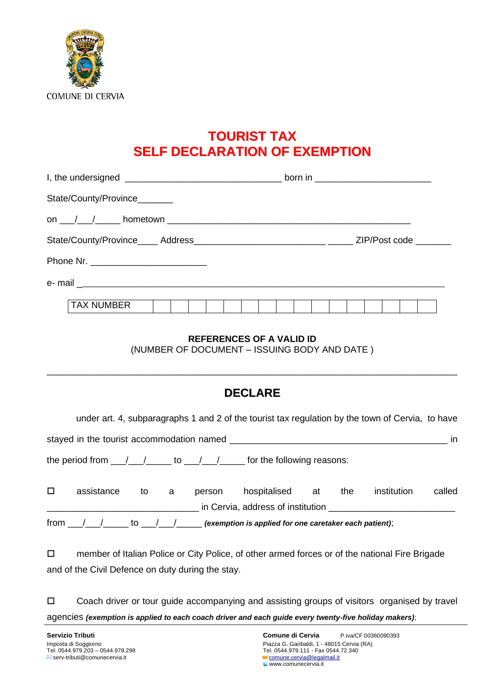

## **TOURIST TAX SELF DECLARATION OF EXEMPTION**

| State/County/Province________ |  |  |  |  |  |  |
|-------------------------------|--|--|--|--|--|--|
|                               |  |  |  |  |  |  |
|                               |  |  |  |  |  |  |
|                               |  |  |  |  |  |  |
|                               |  |  |  |  |  |  |
| <b>TAX NUMBER</b>             |  |  |  |  |  |  |

## **REFERENCES OF A VALID ID**

(NUMBER OF DOCUMENT – ISSUING BODY AND DATE )

## **DECLARE**

\_\_\_\_\_\_\_\_\_\_\_\_\_\_\_\_\_\_\_\_\_\_\_\_\_\_\_\_\_\_\_\_\_\_\_\_\_\_\_\_\_\_\_\_\_\_\_\_\_\_\_\_\_\_\_\_\_\_\_\_\_\_\_\_\_\_\_\_\_\_\_\_\_\_\_\_\_\_\_\_\_

under art. 4, subparagraphs 1 and 2 of the tourist tax regulation by the town of Cervia, to have

stayed in the tourist accommodation named  $\blacksquare$ 

the period from  $\frac{1}{2}$  /  $\frac{1}{2}$  to  $\frac{1}{2}$  for the following reasons:

|      | assistance | tΟ | person | hospitalised                                           | at | the | institution | called |
|------|------------|----|--------|--------------------------------------------------------|----|-----|-------------|--------|
|      |            |    |        | in Cervia, address of institution                      |    |     |             |        |
| from |            |    |        | (exemption is applied for one caretaker each patient); |    |     |             |        |

□ member of Italian Police or City Police, of other armed forces or of the national Fire Brigade and of the Civil Defence on duty during the stay.

□ Coach driver or tour guide accompanying and assisting groups of visitors organised by travel agencies *(exemption is applied to each coach driver and each guide every twenty-five holiday makers)*;